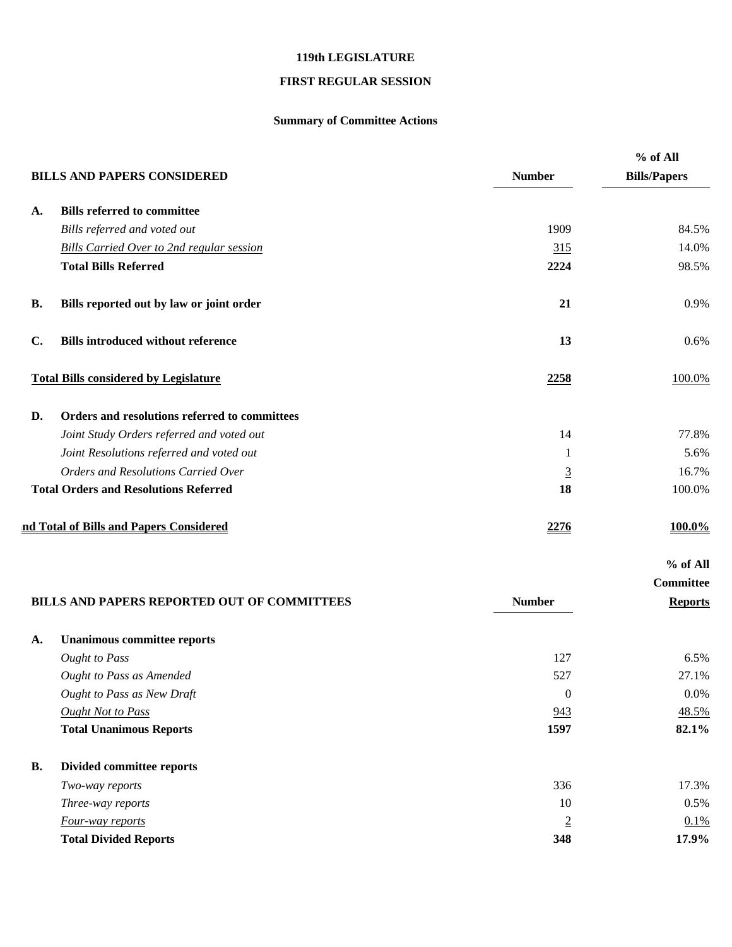## **119th LEGISLATURE**

## **FIRST REGULAR SESSION**

## **Summary of Committee Actions**

|                |                                                  |                  | % of All            |
|----------------|--------------------------------------------------|------------------|---------------------|
|                | <b>BILLS AND PAPERS CONSIDERED</b>               | <b>Number</b>    | <b>Bills/Papers</b> |
| A.             | <b>Bills referred to committee</b>               |                  |                     |
|                | Bills referred and voted out                     | 1909             | 84.5%               |
|                | <b>Bills Carried Over to 2nd regular session</b> | 315              | 14.0%               |
|                | <b>Total Bills Referred</b>                      | 2224             | 98.5%               |
| <b>B.</b>      | Bills reported out by law or joint order         | 21               | 0.9%                |
| $\mathbf{C}$ . | <b>Bills introduced without reference</b>        | 13               | 0.6%                |
|                | <b>Total Bills considered by Legislature</b>     | 2258             | 100.0%              |
| D.             | Orders and resolutions referred to committees    |                  |                     |
|                | Joint Study Orders referred and voted out        | 14               | 77.8%               |
|                | Joint Resolutions referred and voted out         | 1                | 5.6%                |
|                | Orders and Resolutions Carried Over              | $\overline{3}$   | 16.7%               |
|                | <b>Total Orders and Resolutions Referred</b>     | 18               | 100.0%              |
|                | nd Total of Bills and Papers Considered          | 2276             | 100.0%              |
|                |                                                  |                  | % of All            |
|                |                                                  |                  | Committee           |
|                | BILLS AND PAPERS REPORTED OUT OF COMMITTEES      | <b>Number</b>    | <b>Reports</b>      |
| A.             | <b>Unanimous committee reports</b>               |                  |                     |
|                | <b>Ought to Pass</b>                             | 127              | 6.5%                |
|                | <b>Ought to Pass as Amended</b>                  | 527              | 27.1%               |
|                | Ought to Pass as New Draft                       | $\boldsymbol{0}$ | 0.0%                |
|                | <b>Ought Not to Pass</b>                         | 943              | 48.5%               |
|                | <b>Total Unanimous Reports</b>                   | 1597             | 82.1%               |
| <b>B.</b>      | Divided committee reports                        |                  |                     |
|                | Two-way reports                                  | 336              | 17.3%               |
|                | Three-way reports                                | 10               | 0.5%                |
|                | Four-way reports                                 | $\overline{2}$   | 0.1%                |
|                | <b>Total Divided Reports</b>                     | 348              | 17.9%               |